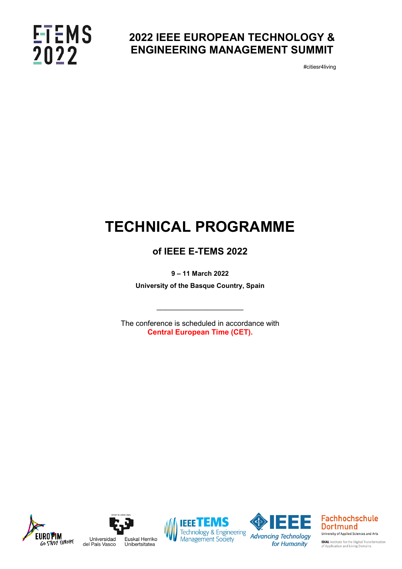## **ETEMS**<br>2022

### **2022 IEEE EUROPEAN TECHNOLOGY & ENGINEERING MANAGEMENT SUMMIT**

#citiesr4living

## **TECHNICAL PROGRAMME**

### **of IEEE E-TEMS 2022**

**9 – 11 March 2022**

**University of the Basque Country, Spain**

 $\_$ 

The conference is scheduled in accordance with **Central European Time (CET).**









**Fachhochschule Dortmund** University of Applied Sciences and Arts

**IDiAL** Institute for the Digital Transformation<br>of Application and Living Domains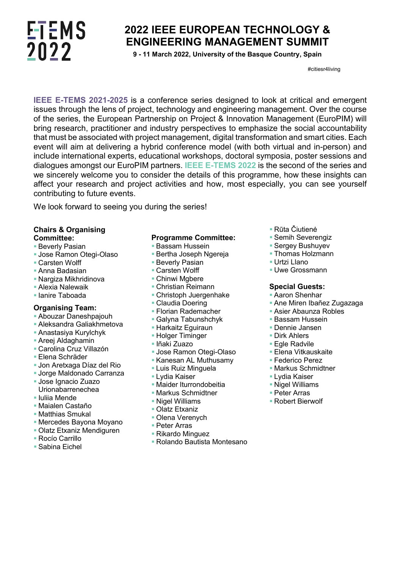## **ETEMS** 2022

### **2022 IEEE EUROPEAN TECHNOLOGY & ENGINEERING MANAGEMENT SUMMIT**

**9 - 11 March 2022, University of the Basque Country, Spain**

#citiesr4living

**IEEE E-TEMS 2021-2025** is a conference series designed to look at critical and emergent issues through the lens of project, technology and engineering management. Over the course of the series, the European Partnership on Project & Innovation Management (EuroPIM) will bring research, practitioner and industry perspectives to emphasize the social accountability that must be associated with project management, digital transformation and smart cities. Each event will aim at delivering a hybrid conference model (with both virtual and in-person) and include international experts, educational workshops, doctoral symposia, poster sessions and dialogues amongst our EuroPIM partners. **IEEE E-TEMS 2022** is the second of the series and we sincerely welcome you to consider the details of this programme, how these insights can affect your research and project activities and how, most especially, you can see yourself contributing to future events.

We look forward to seeing you during the series!

#### **Chairs & Organising Committee:**

- Beverly Pasian
- **Jose Ramon Otegi-Olaso**
- Carsten Wolff
- Anna Badasian
- Nargiza Mikhridinova
- Alexia Nalewaik
- **I**lanire Taboada

#### **Organising Team:**

- Abouzar Daneshpajouh
- Aleksandra Galiakhmetova
- Anastasiya Kurylchyk
- Areej Aldaghamin
- Carolina Cruz Villazón
- Elena Schräder
- Jon Aretxaga Díaz del Rio
- Jorge Maldonado Carranza
- Jose Ignacio Zuazo Urionabarrenechea
- **Iuliia Mende**
- Maialen Castaño
- **Matthias Smukal**
- Mercedes Bayona Moyano
- Olatz Etxaniz Mendiguren
- Rocío Carrillo
- Sabina Eichel

#### **Programme Committee:**

- **Bassam Hussein**
- **Bertha Joseph Ngereja**
- **Beverly Pasian**
- Carsten Wolff
- Chinwi Mabere
- Christian Reimann
- Christoph Juergenhake
- Claudia Doering
- Florian Rademacher
- Galyna Tabunshchyk
- **Harkaitz Eguiraun**
- **Holger Timinger**
- Iñaki Zuazo
- **Jose Ramon Otegi-Olaso**
- Kanesan AL Muthusamy
- Luis Ruiz Minguela
- Lydia Kaiser
- **Maider Iturrondobeitia**
- Markus Schmidtner
- Nigel Williams
- Olatz Etxaniz
- Olena Verenych
- Peter Arras
- Rikardo Minguez
- Rolando Bautista Montesano
- Rūta Čiutienė
- **Semih Severengiz**
- Sergey Bushuyev
- Thomas Holzmann
- Urtzi Llano
- **Uwe Grossmann**

#### **Special Guests:**

- Aaron Shenhar
- Ane Miren Ibañez Zugazaga
- Asier Abaunza Robles
- **Bassam Hussein**
- Dennie Jansen
- Dirk Ahlers
- Egle Radvile
- Elena Vitkauskaite
- Federico Perez
- **Markus Schmidtner**
- Lydia Kaiser
- **Nigel Williams**
- Peter Arras
- Robert Bierwolf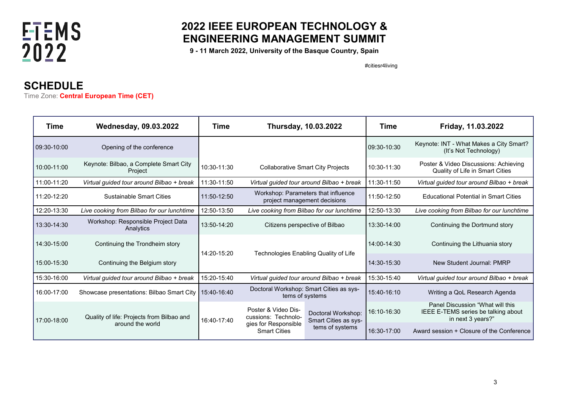

### **2022 IEEE EUROPEAN TECHNOLOGY & ENGINEERING MANAGEMENT SUMMIT**

**9 - 11 March 2022, University of the Basque Country, Spain**

#citiesr4living

### **SCHEDULE**

Time Zone: **Central European Time (CET)**

| Time        | <b>Wednesday, 09.03.2022</b>                                  | <b>Thursday, 10.03.2022</b><br>Time |                                                                                           | Time                                                          | Friday, 11.03.2022 |                                                                                              |
|-------------|---------------------------------------------------------------|-------------------------------------|-------------------------------------------------------------------------------------------|---------------------------------------------------------------|--------------------|----------------------------------------------------------------------------------------------|
| 09:30-10:00 | Opening of the conference                                     |                                     |                                                                                           |                                                               | 09:30-10:30        | Keynote: INT - What Makes a City Smart?<br>(It's Not Technology)                             |
| 10:00-11:00 | Keynote: Bilbao, a Complete Smart City<br>Project             | 10:30-11:30                         | <b>Collaborative Smart City Projects</b>                                                  |                                                               | 10:30-11:30        | Poster & Video Discussions: Achieving<br>Quality of Life in Smart Cities                     |
| 11:00-11:20 | Virtual guided tour around Bilbao + break                     | 11:30-11:50                         | Virtual guided tour around Bilbao + break                                                 |                                                               | 11:30-11:50        | Virtual guided tour around Bilbao + break                                                    |
| 11:20-12:20 | <b>Sustainable Smart Cities</b>                               | 11:50-12:50                         | Workshop: Parameters that influence<br>project management decisions                       |                                                               | 11:50-12:50        | <b>Educational Potential in Smart Cities</b>                                                 |
| 12:20-13:30 | Live cooking from Bilbao for our lunchtime                    | 12:50-13:50                         | Live cooking from Bilbao for our lunchtime                                                |                                                               | 12:50-13:30        | Live cooking from Bilbao for our lunchtime                                                   |
| 13:30-14:30 | Workshop: Responsible Project Data<br>Analytics               | 13:50-14:20                         | Citizens perspective of Bilbao                                                            |                                                               | 13:30-14:00        | Continuing the Dortmund story                                                                |
| 14:30-15:00 | Continuing the Trondheim story                                | 14:20-15:20                         | Technologies Enabling Quality of Life                                                     |                                                               | 14:00-14:30        | Continuing the Lithuania story                                                               |
| 15:00-15:30 | Continuing the Belgium story                                  |                                     |                                                                                           |                                                               | 14:30-15:30        | New Student Journal: PMRP                                                                    |
| 15:30-16:00 | Virtual guided tour around Bilbao + break                     | 15:20-15:40                         | Virtual quided tour around Bilbao + break                                                 |                                                               | 15:30-15:40        | Virtual guided tour around Bilbao + break                                                    |
| 16:00-17:00 | Showcase presentations: Bilbao Smart City                     | 15:40-16:40                         | Doctoral Workshop: Smart Cities as sys-<br>tems of systems                                |                                                               | 15:40-16:10        | Writing a QoL Research Agenda                                                                |
| 17:00-18:00 | Quality of life: Projects from Bilbao and<br>around the world | 16:40-17:40                         | Poster & Video Dis-<br>cussions: Technolo-<br>gies for Responsible<br><b>Smart Cities</b> | Doctoral Workshop:<br>Smart Cities as sys-<br>tems of systems | 16:10-16:30        | Panel Discussion "What will this<br>IEEE E-TEMS series be talking about<br>in next 3 years?" |
|             |                                                               |                                     |                                                                                           |                                                               | 16:30-17:00        | Award session + Closure of the Conference                                                    |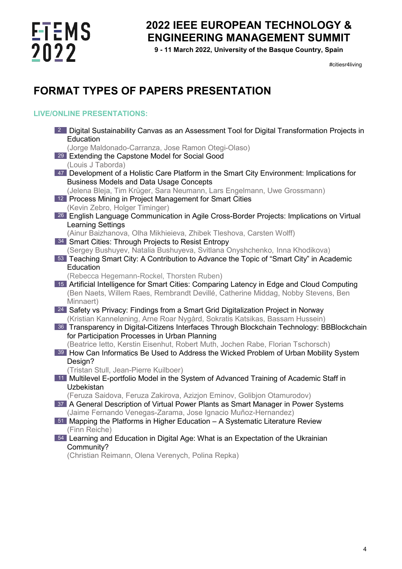# **FTEMS**<br>2022

### **2022 IEEE EUROPEAN TECHNOLOGY & ENGINEERING MANAGEMENT SUMMIT**

**9 - 11 March 2022, University of the Basque Country, Spain**

#citiesr4living

## **FORMAT TYPES OF PAPERS PRESENTATION**

### **LIVE/ONLINE PRESENTATIONS:**

| <b>2 Digital Sustainability Canvas as an Assessment Tool for Digital Transformation Projects in</b> |
|-----------------------------------------------------------------------------------------------------|
| Education<br>(Jorge Maldonado-Carranza, Jose Ramon Otegi-Olaso)                                     |
| 29 Extending the Capstone Model for Social Good                                                     |
| (Louis J Taborda)                                                                                   |
| 47 Development of a Holistic Care Platform in the Smart City Environment: Implications for          |
| <b>Business Models and Data Usage Concepts</b>                                                      |
| (Jelena Bleja, Tim Krüger, Sara Neumann, Lars Engelmann, Uwe Grossmann)                             |
| 12 Process Mining in Project Management for Smart Cities                                            |
| (Kevin Zebro, Holger Timinger)                                                                      |
| 26 English Language Communication in Agile Cross-Border Projects: Implications on Virtual           |
| <b>Learning Settings</b>                                                                            |
| (Ainur Baizhanova, Olha Mikhieieva, Zhibek Tleshova, Carsten Wolff)                                 |
| 34 Smart Cities: Through Projects to Resist Entropy                                                 |
| (Sergey Bushuyev, Natalia Bushuyeva, Svitlana Onyshchenko, Inna Khodikova)                          |
| 53 Teaching Smart City: A Contribution to Advance the Topic of "Smart City" in Academic             |
| Education                                                                                           |
| (Rebecca Hegemann-Rockel, Thorsten Ruben)                                                           |
| 15 Artificial Intelligence for Smart Cities: Comparing Latency in Edge and Cloud Computing          |
| (Ben Naets, Willem Raes, Rembrandt Devillé, Catherine Middag, Nobby Stevens, Ben                    |
| Minnaert)<br>24 Safety vs Privacy: Findings from a Smart Grid Digitalization Project in Norway      |
| (Kristian Kanneløning, Arne Roar Nygård, Sokratis Katsikas, Bassam Hussein)                         |
| 36 Transparency in Digital-Citizens Interfaces Through Blockchain Technology: BBBlockchain          |
| for Participation Processes in Urban Planning                                                       |
| (Beatrice letto, Kerstin Eisenhut, Robert Muth, Jochen Rabe, Florian Tschorsch)                     |
| 39 How Can Informatics Be Used to Address the Wicked Problem of Urban Mobility System               |
| Design?                                                                                             |
| (Tristan Stull, Jean-Pierre Kuilboer)                                                               |
| 11 Multilevel E-portfolio Model in the System of Advanced Training of Academic Staff in             |
| Uzbekistan                                                                                          |
| (Feruza Saidova, Feruza Zakirova, Azizjon Eminov, Golibjon Otamurodov)                              |
| 37 A General Description of Virtual Power Plants as Smart Manager in Power Systems                  |
| (Jaime Fernando Venegas-Zarama, Jose Ignacio Muñoz-Hernandez)                                       |
| <b>51 Mapping the Platforms in Higher Education - A Systematic Literature Review</b>                |
| (Finn Reiche)                                                                                       |
| 54 Learning and Education in Digital Age: What is an Expectation of the Ukrainian                   |
| Community?                                                                                          |
| (Christian Reimann, Olena Verenych, Polina Repka)                                                   |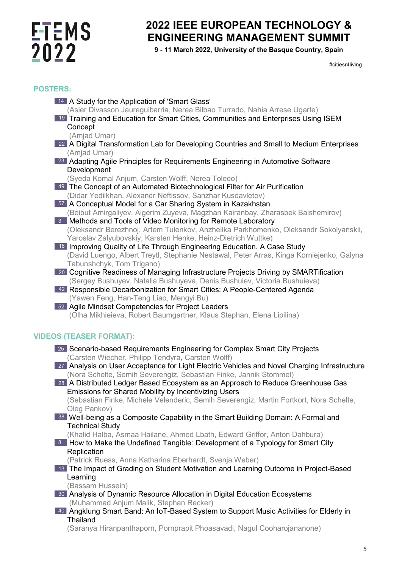## **FTEMS**<br>2022

### **2022 IEEE EUROPEAN TECHNOLOGY & ENGINEERING MANAGEMENT SUMMIT**

**9 - 11 March 2022, University of the Basque Country, Spain**

#citiesr4living

#### **POSTERS:**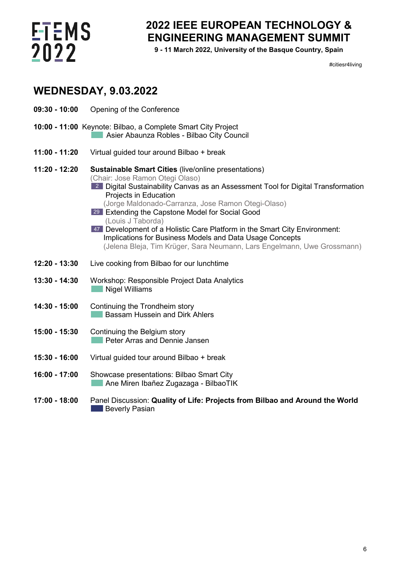

### **2022 IEEE EUROPEAN TECHNOLOGY & ENGINEERING MANAGEMENT SUMMIT**

**9 - 11 March 2022, University of the Basque Country, Spain**

#citiesr4living

### **WEDNESDAY, 9.03.2022**

- **09:30 - 10:00** Opening of the Conference
- **10:00 - 11:00** Keynote: Bilbao, a Complete Smart City Project **Asier Abaunza Robles - Bilbao City Council**
- **11:00 - 11:20** Virtual guided tour around Bilbao + break
- **11:20 - 12:20 Sustainable Smart Cities** (live/online presentations) (Chair: Jose Ramon Otegi Olaso) Digital Sustainability Canvas as an Assessment Tool for Digital Transformation 2 Projects in Education
	- (Jorge Maldonado-Carranza, Jose Ramon Otegi-Olaso)
	- Extending the Capstone Model for Social Good 29 (Louis J Taborda)
	- 47 Development of a Holistic Care Platform in the Smart City Environment: Implications for Business Models and Data Usage Concepts (Jelena Bleja, Tim Krüger, Sara Neumann, Lars Engelmann, Uwe Grossmann)
- **12:20 - 13:30** Live cooking from Bilbao for our lunchtime
- **13:30 - 14:30** Workshop: Responsible Project Data Analytics Nigel Williams
- **14:30 - 15:00** Continuing the Trondheim story Bassam Hussein and Dirk Ahlers
- **15:00 - 15:30** Continuing the Belgium story **Peter Arras and Dennie Jansen**
- **15:30 - 16:00** Virtual guided tour around Bilbao + break
- **16:00 - 17:00** Showcase presentations: Bilbao Smart City Ane Miren Ibañez Zugazaga - BilbaoTIK
- **17:00 - 18:00** Panel Discussion: **Quality of Life: Projects from Bilbao and Around the World Beverly Pasian**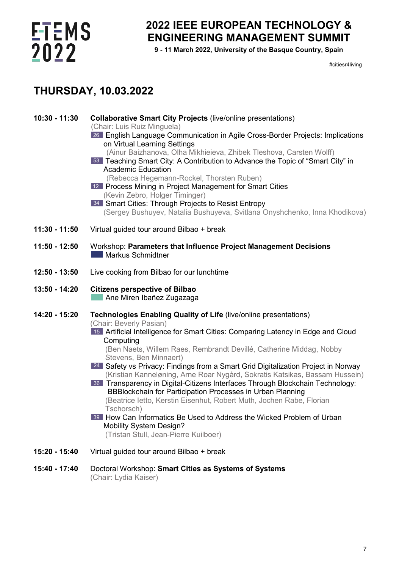

### **2022 IEEE EUROPEAN TECHNOLOGY & ENGINEERING MANAGEMENT SUMMIT**

**9 - 11 March 2022, University of the Basque Country, Spain**

#citiesr4living

### **THURSDAY, 10.03.2022**

| $10:30 - 11:30$ | <b>Collaborative Smart City Projects (live/online presentations)</b><br>(Chair: Luis Ruiz Minguela)<br>26 English Language Communication in Agile Cross-Border Projects: Implications<br>on Virtual Learning Settings<br>(Ainur Baizhanova, Olha Mikhieieva, Zhibek Tleshova, Carsten Wolff)<br>53 Teaching Smart City: A Contribution to Advance the Topic of "Smart City" in<br><b>Academic Education</b><br>(Rebecca Hegemann-Rockel, Thorsten Ruben)<br>12 Process Mining in Project Management for Smart Cities<br>(Kevin Zebro, Holger Timinger)<br>34 Smart Cities: Through Projects to Resist Entropy<br>(Sergey Bushuyev, Natalia Bushuyeva, Svitlana Onyshchenko, Inna Khodikova)                                                                                                                                                                 |
|-----------------|-------------------------------------------------------------------------------------------------------------------------------------------------------------------------------------------------------------------------------------------------------------------------------------------------------------------------------------------------------------------------------------------------------------------------------------------------------------------------------------------------------------------------------------------------------------------------------------------------------------------------------------------------------------------------------------------------------------------------------------------------------------------------------------------------------------------------------------------------------------|
| $11:30 - 11:50$ | Virtual guided tour around Bilbao + break                                                                                                                                                                                                                                                                                                                                                                                                                                                                                                                                                                                                                                                                                                                                                                                                                   |
| 11:50 - 12:50   | Workshop: Parameters that Influence Project Management Decisions<br>Markus Schmidtner                                                                                                                                                                                                                                                                                                                                                                                                                                                                                                                                                                                                                                                                                                                                                                       |
| $12:50 - 13:50$ | Live cooking from Bilbao for our lunchtime                                                                                                                                                                                                                                                                                                                                                                                                                                                                                                                                                                                                                                                                                                                                                                                                                  |
| 13:50 - 14:20   | <b>Citizens perspective of Bilbao</b><br>Ane Miren Ibañez Zugazaga                                                                                                                                                                                                                                                                                                                                                                                                                                                                                                                                                                                                                                                                                                                                                                                          |
| 14:20 - 15:20   | Technologies Enabling Quality of Life (live/online presentations)<br>(Chair: Beverly Pasian)<br>15 Artificial Intelligence for Smart Cities: Comparing Latency in Edge and Cloud<br>Computing<br>(Ben Naets, Willem Raes, Rembrandt Devillé, Catherine Middag, Nobby<br>Stevens, Ben Minnaert)<br>24 Safety vs Privacy: Findings from a Smart Grid Digitalization Project in Norway<br>(Kristian Kanneløning, Arne Roar Nygård, Sokratis Katsikas, Bassam Hussein)<br>36 Transparency in Digital-Citizens Interfaces Through Blockchain Technology:<br>BBBlockchain for Participation Processes in Urban Planning<br>(Beatrice letto, Kerstin Eisenhut, Robert Muth, Jochen Rabe, Florian<br>Tschorsch)<br>39 How Can Informatics Be Used to Address the Wicked Problem of Urban<br><b>Mobility System Design?</b><br>(Tristan Stull, Jean-Pierre Kuilboer) |
| 15:20 - 15:40   | Virtual guided tour around Bilbao + break                                                                                                                                                                                                                                                                                                                                                                                                                                                                                                                                                                                                                                                                                                                                                                                                                   |

**15:40 - 17:40** Doctoral Workshop: **Smart Cities as Systems of Systems** (Chair: Lydia Kaiser)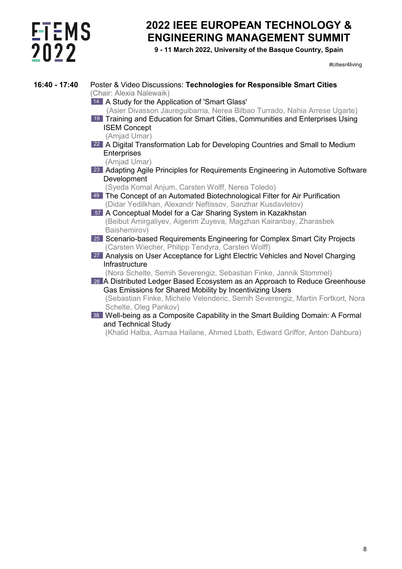# **ETEMS**<br>2022

### **2022 IEEE EUROPEAN TECHNOLOGY & ENGINEERING MANAGEMENT SUMMIT**

**9 - 11 March 2022, University of the Basque Country, Spain**

#citiesr4living

| 16:40 - 17:40 | Poster & Video Discussions: Technologies for Responsible Smart Cities<br>(Chair: Alexia Nalewaik) |  |  |  |  |  |
|---------------|---------------------------------------------------------------------------------------------------|--|--|--|--|--|
|               | 14 A Study for the Application of 'Smart Glass'                                                   |  |  |  |  |  |
|               | (Asier Divasson Jaureguibarria, Nerea Bilbao Turrado, Nahia Arrese Ugarte)                        |  |  |  |  |  |
|               | <sup>19</sup> Training and Education for Smart Cities, Communities and Enterprises Using          |  |  |  |  |  |
|               | <b>ISEM Concept</b>                                                                               |  |  |  |  |  |
|               | (Amjad Umar)                                                                                      |  |  |  |  |  |
|               | 22 A Digital Transformation Lab for Developing Countries and Small to Medium                      |  |  |  |  |  |
|               | <b>Enterprises</b>                                                                                |  |  |  |  |  |
|               | (Amjad Umar)                                                                                      |  |  |  |  |  |
|               | <sup>23</sup> Adapting Agile Principles for Requirements Engineering in Automotive Software       |  |  |  |  |  |
|               | Development                                                                                       |  |  |  |  |  |
|               | (Syeda Komal Anjum, Carsten Wolff, Nerea Toledo)                                                  |  |  |  |  |  |
|               | 49 The Concept of an Automated Biotechnological Filter for Air Purification                       |  |  |  |  |  |
|               | (Didar Yedilkhan, Alexandr Neftissov, Sanzhar Kusdavletov)                                        |  |  |  |  |  |
|               | 57 A Conceptual Model for a Car Sharing System in Kazakhstan                                      |  |  |  |  |  |
|               | (Beibut Amirgaliyev, Aigerim Zuyeva, Magzhan Kairanbay, Zharasbek                                 |  |  |  |  |  |
|               | Baishemirov)                                                                                      |  |  |  |  |  |
|               | 25 Scenario-based Requirements Engineering for Complex Smart City Projects                        |  |  |  |  |  |
|               | (Carsten Wiecher, Philipp Tendyra, Carsten Wolff)                                                 |  |  |  |  |  |
|               | 27 Analysis on User Acceptance for Light Electric Vehicles and Novel Charging                     |  |  |  |  |  |
|               | Infrastructure                                                                                    |  |  |  |  |  |
|               | (Nora Schelte, Semih Severengiz, Sebastian Finke, Jannik Stommel)                                 |  |  |  |  |  |
|               | 28 A Distributed Ledger Based Ecosystem as an Approach to Reduce Greenhouse                       |  |  |  |  |  |
|               | Gas Emissions for Shared Mobility by Incentivizing Users                                          |  |  |  |  |  |
|               | (Sebastian Finke, Michele Velenderic, Semih Severengiz, Martin Fortkort, Nora                     |  |  |  |  |  |
|               | Schelte, Oleg Pankov)                                                                             |  |  |  |  |  |
|               | 38 Well-being as a Composite Capability in the Smart Building Domain: A Formal                    |  |  |  |  |  |
|               | and Technical Study                                                                               |  |  |  |  |  |
|               | (Kholid Holbo, Asmos Hoilang, Abmod Lhoth, Edward Criffor, Anton Dobburo)                         |  |  |  |  |  |

(Khalid Halba, Asmaa Hailane, Ahmed Lbath, Edward Griffor, Anton Dahbura)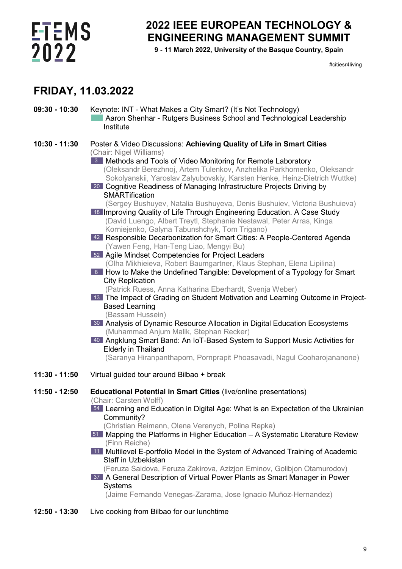## **ETEMS** 2022

### **2022 IEEE EUROPEAN TECHNOLOGY & ENGINEERING MANAGEMENT SUMMIT**

**9 - 11 March 2022, University of the Basque Country, Spain**

#citiesr4living

### **FRIDAY, 11.03.2022**

- **09:30 - 10:30** Keynote: INT What Makes a City Smart? (It's Not Technology) Aaron Shenhar - Rutgers Business School and Technological Leadership Institute
- **10:30 - 11:30** Poster & Video Discussions: **Achieving Quality of Life in Smart Cities** (Chair: Nigel Williams)
	- Methods and Tools of Video Monitoring for Remote Laboratory 3 (Oleksandr Berezhnoj, Artem Tulenkov, Anzhelika Parkhomenko, Oleksandr Sokolyanskii, Yaroslav Zalyubovskiy, Karsten Henke, Heinz-Dietrich Wuttke)
	- Cognitive Readiness of Managing Infrastructure Projects Driving by 20 **SMARTification** 
		- (Sergey Bushuyev, Natalia Bushuyeva, Denis Bushuiev, Victoria Bushuieva)
	- 18 Improving Quality of Life Through Engineering Education. A Case Study (David Luengo, Albert Treytl, Stephanie Nestawal, Peter Arras, Kinga Korniejenko, Galyna Tabunshchyk, Tom Trigano)
	- 42 Responsible Decarbonization for Smart Cities: A People-Centered Agenda (Yawen Feng, Han-Teng Liao, Mengyi Bu)
	- Agile Mindset Competencies for Project Leaders 52 (Olha Mikhieieva, Robert Baumgartner, Klaus Stephan, Elena Lipilina)
	- 8 How to Make the Undefined Tangible: Development of a Typology for Smart City Replication

(Patrick Ruess, Anna Katharina Eberhardt, Svenja Weber)

- The Impact of Grading on Student Motivation and Learning Outcome in Project-13 Based Learning
	- (Bassam Hussein)
- Analysis of Dynamic Resource Allocation in Digital Education Ecosystems 30 (Muhammad Anjum Malik, Stephan Recker)
- 40 Angklung Smart Band: An IoT-Based System to Support Music Activities for Elderly in Thailand

(Saranya Hiranpanthaporn, Pornprapit Phoasavadi, Nagul Cooharojananone)

- **11:30 - 11:50** Virtual guided tour around Bilbao + break
- **11:50 - 12:50 Educational Potential in Smart Cities** (live/online presentations) (Chair: Carsten Wolff)
	- Learning and Education in Digital Age: What is an Expectation of the Ukrainian 54 Community?
		- (Christian Reimann, Olena Verenych, Polina Repka)
	- Mapping the Platforms in Higher Education A Systematic Literature Review 51 (Finn Reiche)
	- Multilevel E-portfolio Model in the System of Advanced Training of Academic 11Staff in Uzbekistan
		- (Feruza Saidova, Feruza Zakirova, Azizjon Eminov, Golibjon Otamurodov)
	- A General Description of Virtual Power Plants as Smart Manager in Power 37 **Systems**

(Jaime Fernando Venegas-Zarama, Jose Ignacio Muñoz-Hernandez)

**12:50 - 13:30** Live cooking from Bilbao for our lunchtime